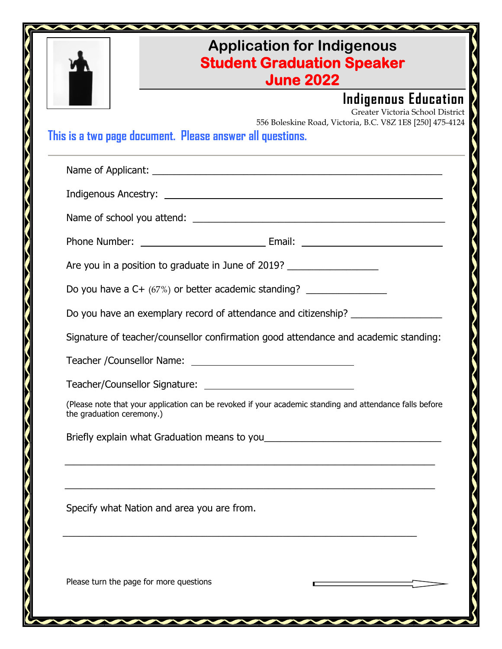|                                                                                                                                                                                    | <b>Application for Indigenous</b><br><b>Student Graduation Speaker</b><br><b>June 2022</b> |  |
|------------------------------------------------------------------------------------------------------------------------------------------------------------------------------------|--------------------------------------------------------------------------------------------|--|
| Indigenous Education<br>Greater Victoria School District<br>556 Boleskine Road, Victoria, B.C. V8Z 1E8 [250] 475-4124<br>This is a two page document. Please answer all questions. |                                                                                            |  |
|                                                                                                                                                                                    |                                                                                            |  |
|                                                                                                                                                                                    |                                                                                            |  |
|                                                                                                                                                                                    |                                                                                            |  |
|                                                                                                                                                                                    |                                                                                            |  |
| Are you in a position to graduate in June of 2019?                                                                                                                                 |                                                                                            |  |
| Do you have a C+ (67%) or better academic standing?                                                                                                                                |                                                                                            |  |
| Do you have an exemplary record of attendance and citizenship? _________________                                                                                                   |                                                                                            |  |
|                                                                                                                                                                                    | Signature of teacher/counsellor confirmation good attendance and academic standing:        |  |
|                                                                                                                                                                                    |                                                                                            |  |
|                                                                                                                                                                                    |                                                                                            |  |
| (Please note that your application can be revoked if your academic standing and attendance falls before<br>the graduation ceremony.)                                               |                                                                                            |  |
|                                                                                                                                                                                    |                                                                                            |  |
| Specify what Nation and area you are from.                                                                                                                                         |                                                                                            |  |
| Please turn the page for more questions                                                                                                                                            |                                                                                            |  |